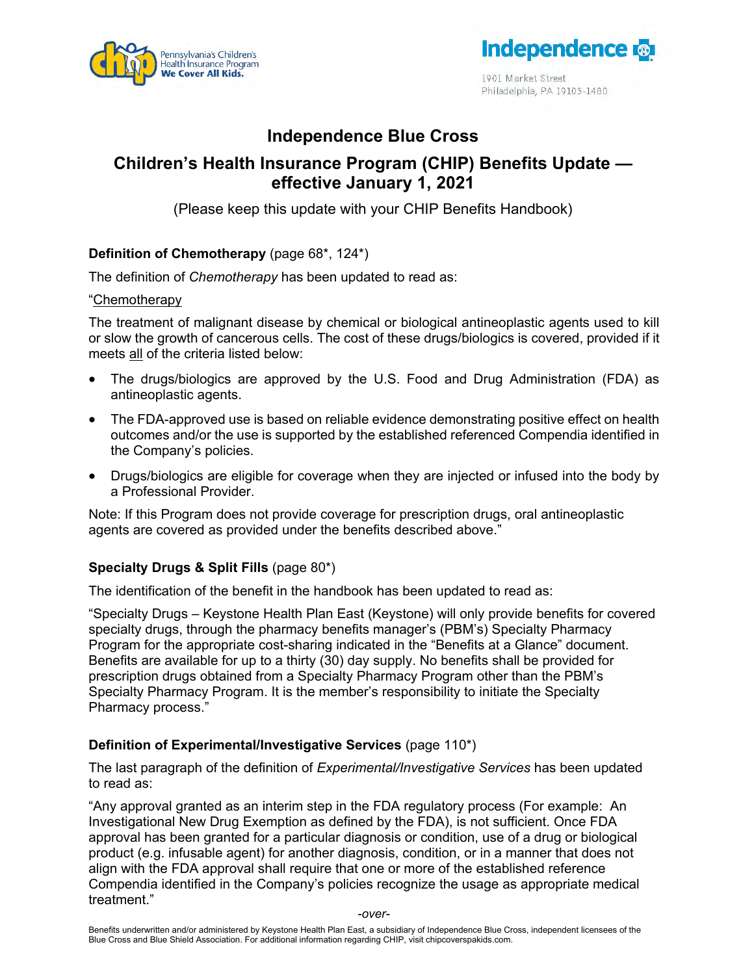



1901 Market Street Philadelphia, PA 19103-1480

# **Independence Blue Cross**

## **Children's Health Insurance Program (CHIP) Benefits Update effective January 1, 2021**

(Please keep this update with your CHIP Benefits Handbook)

## **Definition of Chemotherapy** (page 68\*, 124\*)

The definition of *Chemotherapy* has been updated to read as:

#### "Chemotherapy

The treatment of malignant disease by chemical or biological antineoplastic agents used to kill or slow the growth of cancerous cells. The cost of these drugs/biologics is covered, provided if it meets all of the criteria listed below:

- The drugs/biologics are approved by the U.S. Food and Drug Administration (FDA) as antineoplastic agents.
- The FDA-approved use is based on reliable evidence demonstrating positive effect on health outcomes and/or the use is supported by the established referenced Compendia identified in the Company's policies.
- Drugs/biologics are eligible for coverage when they are injected or infused into the body by a Professional Provider.

Note: If this Program does not provide coverage for prescription drugs, oral antineoplastic agents are covered as provided under the benefits described above."

#### **Specialty Drugs & Split Fills** (page 80\*)

The identification of the benefit in the handbook has been updated to read as:

"Specialty Drugs – Keystone Health Plan East (Keystone) will only provide benefits for covered specialty drugs, through the pharmacy benefits manager's (PBM's) Specialty Pharmacy Program for the appropriate cost-sharing indicated in the "Benefits at a Glance" document. Benefits are available for up to a thirty (30) day supply. No benefits shall be provided for prescription drugs obtained from a Specialty Pharmacy Program other than the PBM's Specialty Pharmacy Program. It is the member's responsibility to initiate the Specialty Pharmacy process."

#### **Definition of Experimental/Investigative Services** (page 110\*)

The last paragraph of the definition of *Experimental/Investigative Services* has been updated to read as:

"Any approval granted as an interim step in the FDA regulatory process (For example: An Investigational New Drug Exemption as defined by the FDA), is not sufficient. Once FDA approval has been granted for a particular diagnosis or condition, use of a drug or biological product (e.g. infusable agent) for another diagnosis, condition, or in a manner that does not align with the FDA approval shall require that one or more of the established reference Compendia identified in the Company's policies recognize the usage as appropriate medical treatment."